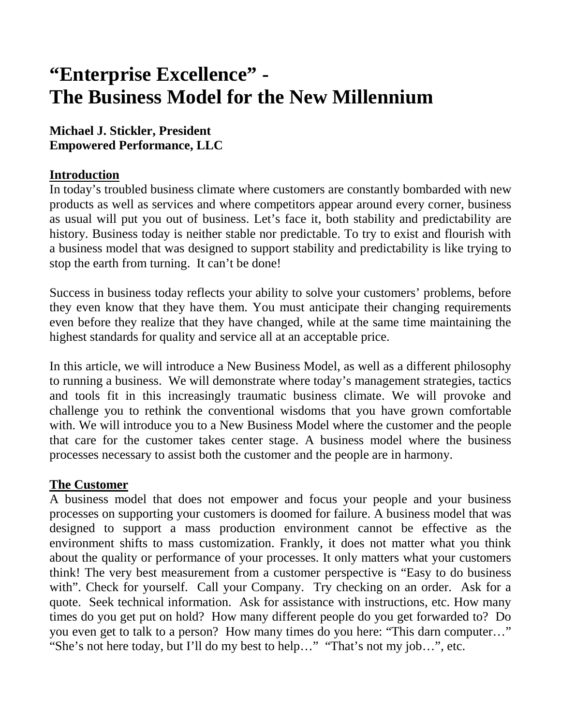# **"Enterprise Excellence" - The Business Model for the New Millennium**

## **Michael J. Stickler, President Empowered Performance, LLC**

### **Introduction**

In today's troubled business climate where customers are constantly bombarded with new products as well as services and where competitors appear around every corner, business as usual will put you out of business. Let's face it, both stability and predictability are history. Business today is neither stable nor predictable. To try to exist and flourish with a business model that was designed to support stability and predictability is like trying to stop the earth from turning. It can't be done!

Success in business today reflects your ability to solve your customers' problems, before they even know that they have them. You must anticipate their changing requirements even before they realize that they have changed, while at the same time maintaining the highest standards for quality and service all at an acceptable price.

In this article, we will introduce a New Business Model, as well as a different philosophy to running a business. We will demonstrate where today's management strategies, tactics and tools fit in this increasingly traumatic business climate. We will provoke and challenge you to rethink the conventional wisdoms that you have grown comfortable with. We will introduce you to a New Business Model where the customer and the people that care for the customer takes center stage. A business model where the business processes necessary to assist both the customer and the people are in harmony.

### **The Customer**

A business model that does not empower and focus your people and your business processes on supporting your customers is doomed for failure. A business model that was designed to support a mass production environment cannot be effective as the environment shifts to mass customization. Frankly, it does not matter what you think about the quality or performance of your processes. It only matters what your customers think! The very best measurement from a customer perspective is "Easy to do business with". Check for yourself. Call your Company. Try checking on an order. Ask for a quote. Seek technical information. Ask for assistance with instructions, etc. How many times do you get put on hold? How many different people do you get forwarded to? Do you even get to talk to a person? How many times do you here: "This darn computer…" "She's not here today, but I'll do my best to help…" "That's not my job…", etc.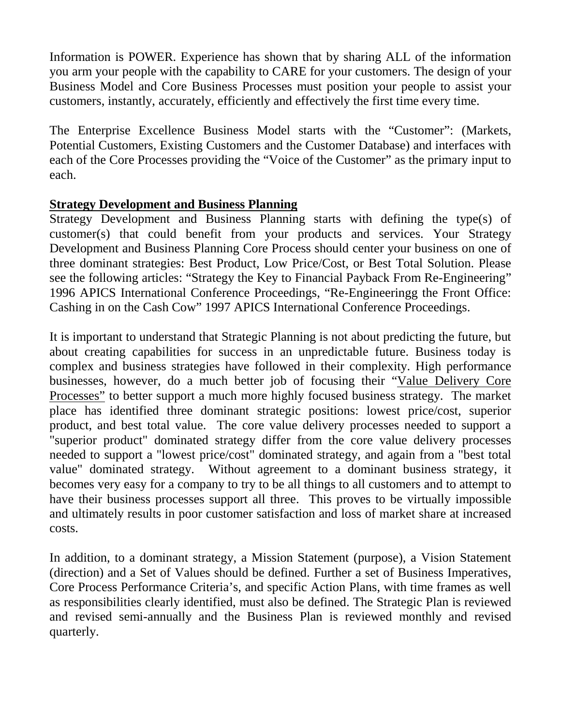Information is POWER. Experience has shown that by sharing ALL of the information you arm your people with the capability to CARE for your customers. The design of your Business Model and Core Business Processes must position your people to assist your customers, instantly, accurately, efficiently and effectively the first time every time.

The Enterprise Excellence Business Model starts with the "Customer": (Markets, Potential Customers, Existing Customers and the Customer Database) and interfaces with each of the Core Processes providing the "Voice of the Customer" as the primary input to each.

#### **Strategy Development and Business Planning**

Strategy Development and Business Planning starts with defining the type(s) of customer(s) that could benefit from your products and services. Your Strategy Development and Business Planning Core Process should center your business on one of three dominant strategies: Best Product, Low Price/Cost, or Best Total Solution. Please see the following articles: "Strategy the Key to Financial Payback From Re-Engineering" 1996 APICS International Conference Proceedings, "Re-Engineeringg the Front Office: Cashing in on the Cash Cow" 1997 APICS International Conference Proceedings.

It is important to understand that Strategic Planning is not about predicting the future, but about creating capabilities for success in an unpredictable future. Business today is complex and business strategies have followed in their complexity. High performance businesses, however, do a much better job of focusing their "Value Delivery Core Processes" to better support a much more highly focused business strategy. The market place has identified three dominant strategic positions: lowest price/cost, superior product, and best total value. The core value delivery processes needed to support a "superior product" dominated strategy differ from the core value delivery processes needed to support a "lowest price/cost" dominated strategy, and again from a "best total value" dominated strategy. Without agreement to a dominant business strategy, it becomes very easy for a company to try to be all things to all customers and to attempt to have their business processes support all three. This proves to be virtually impossible and ultimately results in poor customer satisfaction and loss of market share at increased costs.

In addition, to a dominant strategy, a Mission Statement (purpose), a Vision Statement (direction) and a Set of Values should be defined. Further a set of Business Imperatives, Core Process Performance Criteria's, and specific Action Plans, with time frames as well as responsibilities clearly identified, must also be defined. The Strategic Plan is reviewed and revised semi-annually and the Business Plan is reviewed monthly and revised quarterly.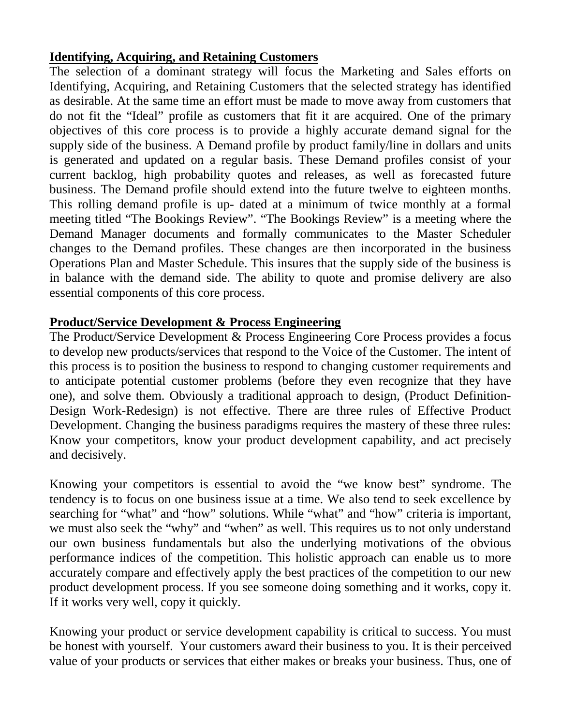## **Identifying, Acquiring, and Retaining Customers**

The selection of a dominant strategy will focus the Marketing and Sales efforts on Identifying, Acquiring, and Retaining Customers that the selected strategy has identified as desirable. At the same time an effort must be made to move away from customers that do not fit the "Ideal" profile as customers that fit it are acquired. One of the primary objectives of this core process is to provide a highly accurate demand signal for the supply side of the business. A Demand profile by product family/line in dollars and units is generated and updated on a regular basis. These Demand profiles consist of your current backlog, high probability quotes and releases, as well as forecasted future business. The Demand profile should extend into the future twelve to eighteen months. This rolling demand profile is up- dated at a minimum of twice monthly at a formal meeting titled "The Bookings Review". "The Bookings Review" is a meeting where the Demand Manager documents and formally communicates to the Master Scheduler changes to the Demand profiles. These changes are then incorporated in the business Operations Plan and Master Schedule. This insures that the supply side of the business is in balance with the demand side. The ability to quote and promise delivery are also essential components of this core process.

### **Product/Service Development & Process Engineering**

The Product/Service Development & Process Engineering Core Process provides a focus to develop new products/services that respond to the Voice of the Customer. The intent of this process is to position the business to respond to changing customer requirements and to anticipate potential customer problems (before they even recognize that they have one), and solve them. Obviously a traditional approach to design, (Product Definition-Design Work-Redesign) is not effective. There are three rules of Effective Product Development. Changing the business paradigms requires the mastery of these three rules: Know your competitors, know your product development capability, and act precisely and decisively.

Knowing your competitors is essential to avoid the "we know best" syndrome. The tendency is to focus on one business issue at a time. We also tend to seek excellence by searching for "what" and "how" solutions. While "what" and "how" criteria is important, we must also seek the "why" and "when" as well. This requires us to not only understand our own business fundamentals but also the underlying motivations of the obvious performance indices of the competition. This holistic approach can enable us to more accurately compare and effectively apply the best practices of the competition to our new product development process. If you see someone doing something and it works, copy it. If it works very well, copy it quickly.

Knowing your product or service development capability is critical to success. You must be honest with yourself. Your customers award their business to you. It is their perceived value of your products or services that either makes or breaks your business. Thus, one of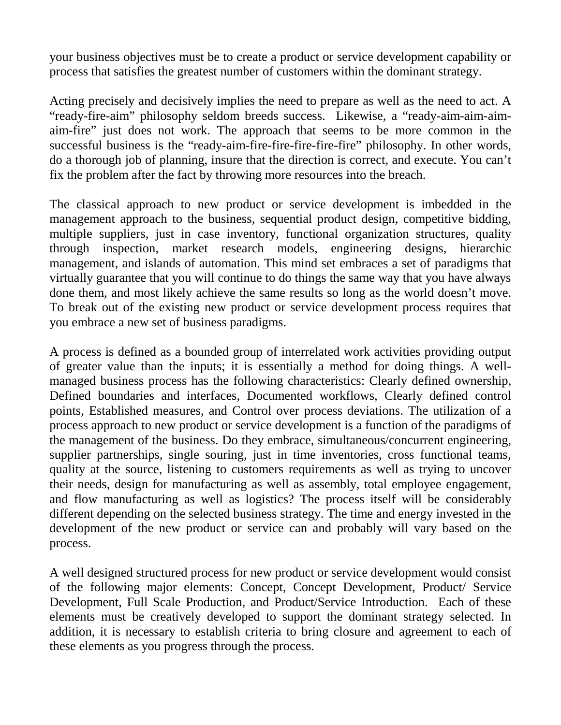your business objectives must be to create a product or service development capability or process that satisfies the greatest number of customers within the dominant strategy.

Acting precisely and decisively implies the need to prepare as well as the need to act. A "ready-fire-aim" philosophy seldom breeds success. Likewise, a "ready-aim-aim-aimaim-fire" just does not work. The approach that seems to be more common in the successful business is the "ready-aim-fire-fire-fire-fire-fire" philosophy. In other words, do a thorough job of planning, insure that the direction is correct, and execute. You can't fix the problem after the fact by throwing more resources into the breach.

The classical approach to new product or service development is imbedded in the management approach to the business, sequential product design, competitive bidding, multiple suppliers, just in case inventory, functional organization structures, quality through inspection, market research models, engineering designs, hierarchic management, and islands of automation. This mind set embraces a set of paradigms that virtually guarantee that you will continue to do things the same way that you have always done them, and most likely achieve the same results so long as the world doesn't move. To break out of the existing new product or service development process requires that you embrace a new set of business paradigms.

A process is defined as a bounded group of interrelated work activities providing output of greater value than the inputs; it is essentially a method for doing things. A wellmanaged business process has the following characteristics: Clearly defined ownership, Defined boundaries and interfaces, Documented workflows, Clearly defined control points, Established measures, and Control over process deviations. The utilization of a process approach to new product or service development is a function of the paradigms of the management of the business. Do they embrace, simultaneous/concurrent engineering, supplier partnerships, single souring, just in time inventories, cross functional teams, quality at the source, listening to customers requirements as well as trying to uncover their needs, design for manufacturing as well as assembly, total employee engagement, and flow manufacturing as well as logistics? The process itself will be considerably different depending on the selected business strategy. The time and energy invested in the development of the new product or service can and probably will vary based on the process.

A well designed structured process for new product or service development would consist of the following major elements: Concept, Concept Development, Product/ Service Development, Full Scale Production, and Product/Service Introduction. Each of these elements must be creatively developed to support the dominant strategy selected. In addition, it is necessary to establish criteria to bring closure and agreement to each of these elements as you progress through the process.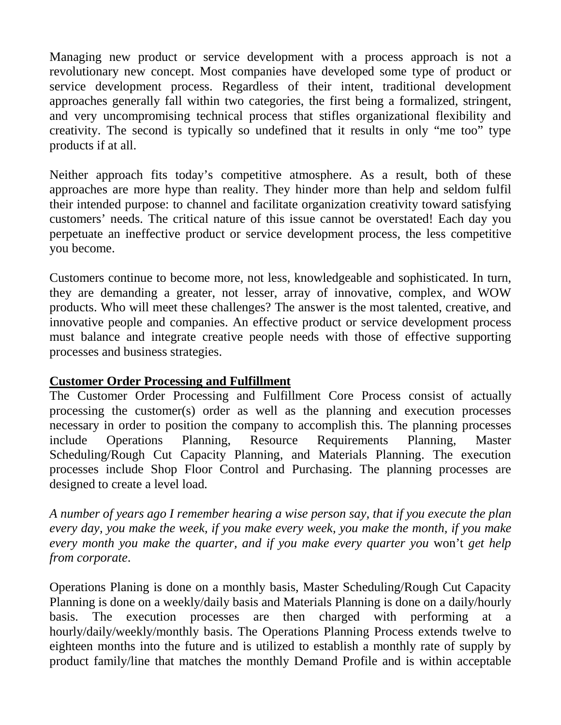Managing new product or service development with a process approach is not a revolutionary new concept. Most companies have developed some type of product or service development process. Regardless of their intent, traditional development approaches generally fall within two categories, the first being a formalized, stringent, and very uncompromising technical process that stifles organizational flexibility and creativity. The second is typically so undefined that it results in only "me too" type products if at all.

Neither approach fits today's competitive atmosphere. As a result, both of these approaches are more hype than reality. They hinder more than help and seldom fulfil their intended purpose: to channel and facilitate organization creativity toward satisfying customers' needs. The critical nature of this issue cannot be overstated! Each day you perpetuate an ineffective product or service development process, the less competitive you become.

Customers continue to become more, not less, knowledgeable and sophisticated. In turn, they are demanding a greater, not lesser, array of innovative, complex, and WOW products. Who will meet these challenges? The answer is the most talented, creative, and innovative people and companies. An effective product or service development process must balance and integrate creative people needs with those of effective supporting processes and business strategies.

### **Customer Order Processing and Fulfillment**

The Customer Order Processing and Fulfillment Core Process consist of actually processing the customer(s) order as well as the planning and execution processes necessary in order to position the company to accomplish this. The planning processes include Operations Planning, Resource Requirements Planning, Master Scheduling/Rough Cut Capacity Planning, and Materials Planning. The execution processes include Shop Floor Control and Purchasing. The planning processes are designed to create a level load*.* 

*A number of years ago I remember hearing a wise person say, that if you execute the plan every day, you make the week, if you make every week, you make the month, if you make every month you make the quarter, and if you make every quarter you* won't *get help from corporate*.

Operations Planing is done on a monthly basis, Master Scheduling/Rough Cut Capacity Planning is done on a weekly/daily basis and Materials Planning is done on a daily/hourly basis. The execution processes are then charged with performing at a hourly/daily/weekly/monthly basis. The Operations Planning Process extends twelve to eighteen months into the future and is utilized to establish a monthly rate of supply by product family/line that matches the monthly Demand Profile and is within acceptable